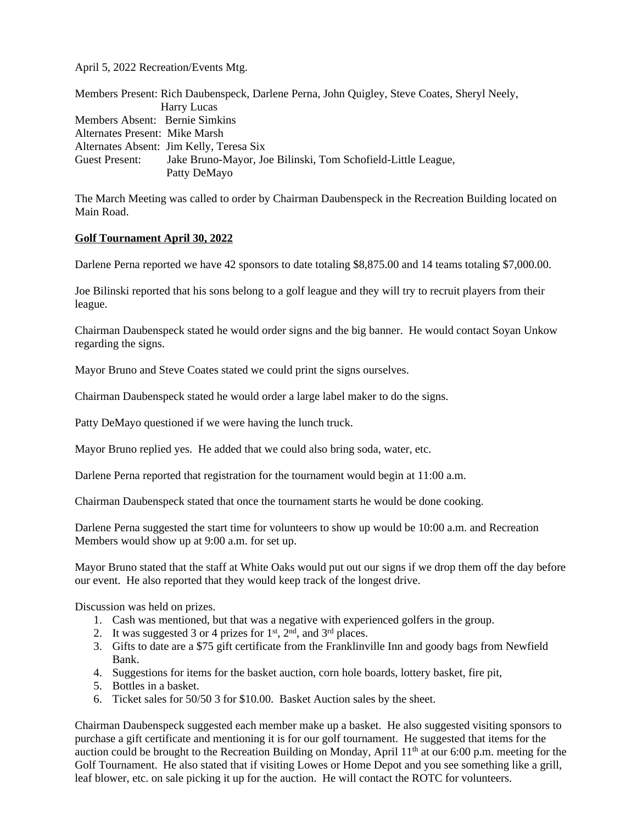April 5, 2022 Recreation/Events Mtg.

|                                | Members Present: Rich Daubenspeck, Darlene Perna, John Quigley, Steve Coates, Sheryl Neely, |
|--------------------------------|---------------------------------------------------------------------------------------------|
|                                | Harry Lucas                                                                                 |
| Members Absent: Bernie Simkins |                                                                                             |
| Alternates Present: Mike Marsh |                                                                                             |
|                                | Alternates Absent: Jim Kelly, Teresa Six                                                    |
| Guest Present:                 | Jake Bruno-Mayor, Joe Bilinski, Tom Schofield-Little League,                                |
|                                | Patty DeMayo                                                                                |

The March Meeting was called to order by Chairman Daubenspeck in the Recreation Building located on Main Road.

## **Golf Tournament April 30, 2022**

Darlene Perna reported we have 42 sponsors to date totaling \$8,875.00 and 14 teams totaling \$7,000.00.

Joe Bilinski reported that his sons belong to a golf league and they will try to recruit players from their league.

Chairman Daubenspeck stated he would order signs and the big banner. He would contact Soyan Unkow regarding the signs.

Mayor Bruno and Steve Coates stated we could print the signs ourselves.

Chairman Daubenspeck stated he would order a large label maker to do the signs.

Patty DeMayo questioned if we were having the lunch truck.

Mayor Bruno replied yes. He added that we could also bring soda, water, etc.

Darlene Perna reported that registration for the tournament would begin at 11:00 a.m.

Chairman Daubenspeck stated that once the tournament starts he would be done cooking.

Darlene Perna suggested the start time for volunteers to show up would be 10:00 a.m. and Recreation Members would show up at 9:00 a.m. for set up.

Mayor Bruno stated that the staff at White Oaks would put out our signs if we drop them off the day before our event. He also reported that they would keep track of the longest drive.

Discussion was held on prizes.

- 1. Cash was mentioned, but that was a negative with experienced golfers in the group.
- 2. It was suggested 3 or 4 prizes for  $1<sup>st</sup>$ ,  $2<sup>nd</sup>$ , and  $3<sup>rd</sup>$  places.
- 3. Gifts to date are a \$75 gift certificate from the Franklinville Inn and goody bags from Newfield Bank.
- 4. Suggestions for items for the basket auction, corn hole boards, lottery basket, fire pit,
- 5. Bottles in a basket.
- 6. Ticket sales for 50/50 3 for \$10.00. Basket Auction sales by the sheet.

Chairman Daubenspeck suggested each member make up a basket. He also suggested visiting sponsors to purchase a gift certificate and mentioning it is for our golf tournament. He suggested that items for the auction could be brought to the Recreation Building on Monday, April  $11<sup>th</sup>$  at our 6:00 p.m. meeting for the Golf Tournament. He also stated that if visiting Lowes or Home Depot and you see something like a grill, leaf blower, etc. on sale picking it up for the auction. He will contact the ROTC for volunteers.